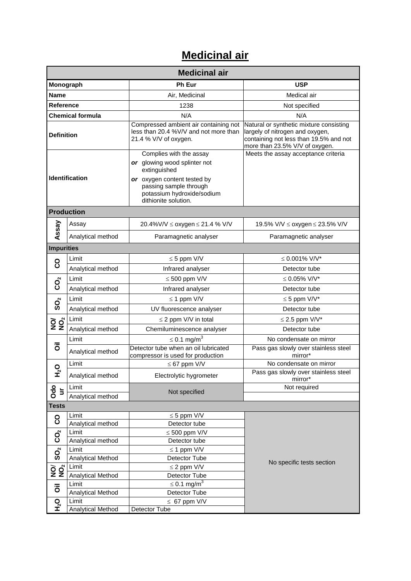## **Medicinal air**

| <b>Medicinal air</b>                                                         |                            |                                                                                                                                                                                        |                                                                                                                                                        |  |  |
|------------------------------------------------------------------------------|----------------------------|----------------------------------------------------------------------------------------------------------------------------------------------------------------------------------------|--------------------------------------------------------------------------------------------------------------------------------------------------------|--|--|
| Monograph                                                                    |                            | Ph Eur                                                                                                                                                                                 | <b>USP</b>                                                                                                                                             |  |  |
| Name                                                                         |                            | Air, Medicinal                                                                                                                                                                         | Medical air                                                                                                                                            |  |  |
| <b>Reference</b>                                                             |                            | 1238                                                                                                                                                                                   | Not specified                                                                                                                                          |  |  |
| <b>Chemical formula</b>                                                      |                            | N/A                                                                                                                                                                                    | N/A                                                                                                                                                    |  |  |
| <b>Definition</b>                                                            |                            | Compressed ambient air containing not<br>less than 20.4 %V/V and not more than<br>21.4 % V/V of oxygen.                                                                                | Natural or synthetic mixture consisting<br>largely of nitrogen and oxygen,<br>containing not less than 19.5% and not<br>more than 23.5% V/V of oxygen. |  |  |
| Identification                                                               |                            | Complies with the assay<br>or glowing wood splinter not<br>extinguished<br>or oxygen content tested by<br>passing sample through<br>potassium hydroxide/sodium<br>dithionite solution. | Meets the assay acceptance criteria                                                                                                                    |  |  |
|                                                                              | <b>Production</b>          |                                                                                                                                                                                        |                                                                                                                                                        |  |  |
|                                                                              | Assay                      | 20.4%V/V ≤ oxygen ≤ 21.4 % V/V                                                                                                                                                         | 19.5% V/V ≤ oxygen ≤ 23.5% V/V                                                                                                                         |  |  |
| Assay                                                                        | Analytical method          | Paramagnetic analyser                                                                                                                                                                  | Paramagnetic analyser                                                                                                                                  |  |  |
| <b>Impurities</b>                                                            |                            |                                                                                                                                                                                        |                                                                                                                                                        |  |  |
|                                                                              | Limit                      | $\leq$ 5 ppm V/V                                                                                                                                                                       | $\leq 0.001\%$ V/V*                                                                                                                                    |  |  |
| <u>၀</u>                                                                     | Analytical method          | Infrared analyser                                                                                                                                                                      | Detector tube                                                                                                                                          |  |  |
| $\mathbf{C}^{\mathbf{O}}$<br>$\mathbf{S}^{\mathbf{O}}$                       | Limit                      | $\leq 500$ ppm V/V                                                                                                                                                                     | ≤ 0.05% $V/V^*$                                                                                                                                        |  |  |
|                                                                              | Analytical method          | Infrared analyser                                                                                                                                                                      | Detector tube                                                                                                                                          |  |  |
|                                                                              | Limit                      | $\leq$ 1 ppm V/V                                                                                                                                                                       | $\leq$ 5 ppm V/V*                                                                                                                                      |  |  |
|                                                                              | Analytical method          | UV fluorescence analyser                                                                                                                                                               | Detector tube                                                                                                                                          |  |  |
|                                                                              | Limit                      | $\leq$ 2 ppm V/V in total                                                                                                                                                              | $\leq$ 2.5 ppm V/V*                                                                                                                                    |  |  |
| ğğ                                                                           | Analytical method          | Chemiluminescence analyser                                                                                                                                                             | Detector tube                                                                                                                                          |  |  |
|                                                                              | Limit                      | $\leq 0.1$ mg/m <sup>3</sup>                                                                                                                                                           | No condensate on mirror                                                                                                                                |  |  |
| ā                                                                            | Analytical method          | Detector tube when an oil lubricated<br>compressor is used for production                                                                                                              | Pass gas slowly over stainless steel<br>mirror*                                                                                                        |  |  |
|                                                                              | Limit                      | $\leq 67$ ppm V/V                                                                                                                                                                      | No condensate on mirror                                                                                                                                |  |  |
| о<br>Н                                                                       | Analytical method          | Electrolytic hygrometer                                                                                                                                                                | Pass gas slowly over stainless steel<br>$mirror*$                                                                                                      |  |  |
| $rac{6}{5}$                                                                  | Limit                      | Not specified                                                                                                                                                                          | Not required                                                                                                                                           |  |  |
|                                                                              | Analytical method          |                                                                                                                                                                                        |                                                                                                                                                        |  |  |
| <b>Tests</b>                                                                 |                            |                                                                                                                                                                                        |                                                                                                                                                        |  |  |
| <u>၀</u>                                                                     | Limit                      | $\leq$ 5 ppm V/V                                                                                                                                                                       |                                                                                                                                                        |  |  |
|                                                                              | Analytical method<br>Limit | Detector tube<br>$\leq 500$ ppm V/V                                                                                                                                                    |                                                                                                                                                        |  |  |
| $\dot{\mathbf{Q}}$<br>Ō                                                      | Analytical method          | Detector tube                                                                                                                                                                          |                                                                                                                                                        |  |  |
| $\overline{\mathbf{S}}$<br>$\widetilde{\mathsf{Q}}$ $\widetilde{\mathsf{Q}}$ | Limit                      | $\leq$ 1 ppm V/V                                                                                                                                                                       |                                                                                                                                                        |  |  |
|                                                                              | Analytical Method          | Detector Tube                                                                                                                                                                          |                                                                                                                                                        |  |  |
|                                                                              | Limit                      | $\leq$ 2 ppm V/V                                                                                                                                                                       | No specific tests section                                                                                                                              |  |  |
|                                                                              | Analytical Method          | Detector Tube                                                                                                                                                                          |                                                                                                                                                        |  |  |
| $\overline{\overline{o}}$                                                    | Limit                      | $\leq$ 0.1 mg/m <sup>3</sup>                                                                                                                                                           |                                                                                                                                                        |  |  |
|                                                                              | <b>Analytical Method</b>   | Detector Tube                                                                                                                                                                          |                                                                                                                                                        |  |  |
| <b>O</b><br>H2                                                               | Limit                      | $\leq 67$ ppm V/V                                                                                                                                                                      |                                                                                                                                                        |  |  |
|                                                                              | <b>Analytical Method</b>   | Detector Tube                                                                                                                                                                          |                                                                                                                                                        |  |  |